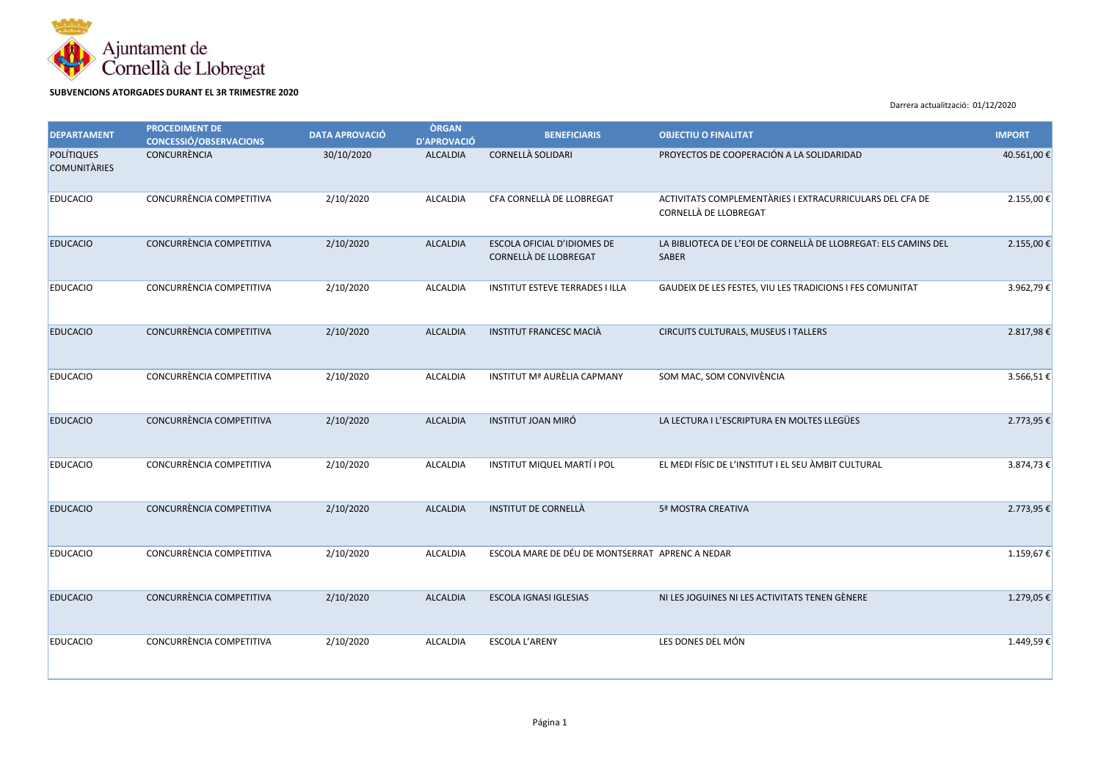

**SUBVENCIONS ATORGADES DURANT EL 3R TRIMESTRE 2020**

Darrera actualització: 01/12/2020

| <b>DEPARTAMENT</b>                       | <b>PROCEDIMENT DE</b><br><b>CONCESSIÓ/OBSERVACIONS</b> | <b>DATA APROVACIÓ</b> | <b>ÒRGAN</b><br><b>D'APROVACIÓ</b> | <b>BENEFICIARIS</b>                                  | <b>OBJECTIU O FINALITAT</b>                                                       | <b>IMPORT</b> |
|------------------------------------------|--------------------------------------------------------|-----------------------|------------------------------------|------------------------------------------------------|-----------------------------------------------------------------------------------|---------------|
| <b>POLÍTIQUES</b><br><b>COMUNITÀRIES</b> | <b>CONCURRÈNCIA</b>                                    | 30/10/2020            | <b>ALCALDIA</b>                    | <b>CORNELLÀ SOLIDARI</b>                             | PROYECTOS DE COOPERACIÓN A LA SOLIDARIDAD                                         | 40.561,00 €   |
| <b>EDUCACIO</b>                          | CONCURRÈNCIA COMPETITIVA                               | 2/10/2020             | ALCALDIA                           | CFA CORNELLÀ DE LLOBREGAT                            | ACTIVITATS COMPLEMENTÀRIES I EXTRACURRICULARS DEL CFA DE<br>CORNELLÀ DE LLOBREGAT | 2.155,00 €    |
| <b>EDUCACIO</b>                          | CONCURRÈNCIA COMPETITIVA                               | 2/10/2020             | <b>ALCALDIA</b>                    | ESCOLA OFICIAL D'IDIOMES DE<br>CORNELLÀ DE LLOBREGAT | LA BIBLIOTECA DE L'EOI DE CORNELLÀ DE LLOBREGAT: ELS CAMINS DEL<br>SABER          | 2.155,00 €    |
| <b>EDUCACIO</b>                          | CONCURRÈNCIA COMPETITIVA                               | 2/10/2020             | <b>ALCALDIA</b>                    | <b>INSTITUT ESTEVE TERRADES I ILLA</b>               | GAUDEIX DE LES FESTES, VIU LES TRADICIONS I FES COMUNITAT                         | 3.962,79€     |
| <b>EDUCACIO</b>                          | CONCURRÈNCIA COMPETITIVA                               | 2/10/2020             | <b>ALCALDIA</b>                    | <b>INSTITUT FRANCESC MACIÀ</b>                       | CIRCUITS CULTURALS, MUSEUS I TALLERS                                              | 2.817,98€     |
| <b>EDUCACIO</b>                          | CONCURRÈNCIA COMPETITIVA                               | 2/10/2020             | ALCALDIA                           | INSTITUT Mª AURÈLIA CAPMANY                          | SOM MAC, SOM CONVIVÈNCIA                                                          | 3.566,51 €    |
| <b>EDUCACIO</b>                          | CONCURRÈNCIA COMPETITIVA                               | 2/10/2020             | <b>ALCALDIA</b>                    | <b>INSTITUT JOAN MIRÓ</b>                            | LA LECTURA I L'ESCRIPTURA EN MOLTES LLEGÜES                                       | 2.773,95 €    |
| <b>EDUCACIO</b>                          | CONCURRÈNCIA COMPETITIVA                               | 2/10/2020             | ALCALDIA                           | INSTITUT MIQUEL MARTÍ I POL                          | EL MEDI FÍSIC DE L'INSTITUT I EL SEU ÀMBIT CULTURAL                               | 3.874,73 €    |
| <b>EDUCACIO</b>                          | CONCURRÈNCIA COMPETITIVA                               | 2/10/2020             | <b>ALCALDIA</b>                    | <b>INSTITUT DE CORNELLÀ</b>                          | 5ª MOSTRA CREATIVA                                                                | 2.773,95€     |
| <b>EDUCACIO</b>                          | CONCURRÈNCIA COMPETITIVA                               | 2/10/2020             | ALCALDIA                           | ESCOLA MARE DE DÉU DE MONTSERRAT APRENC A NEDAR      |                                                                                   | 1.159,67€     |
| <b>EDUCACIO</b>                          | CONCURRÈNCIA COMPETITIVA                               | 2/10/2020             | ALCALDIA                           | <b>ESCOLA IGNASI IGLESIAS</b>                        | NI LES JOGUINES NI LES ACTIVITATS TENEN GÈNERE                                    | 1.279,05€     |
| <b>EDUCACIO</b>                          | CONCURRÈNCIA COMPETITIVA                               | 2/10/2020             | ALCALDIA                           | <b>ESCOLA L'ARENY</b>                                | LES DONES DEL MÓN                                                                 | 1.449,59€     |